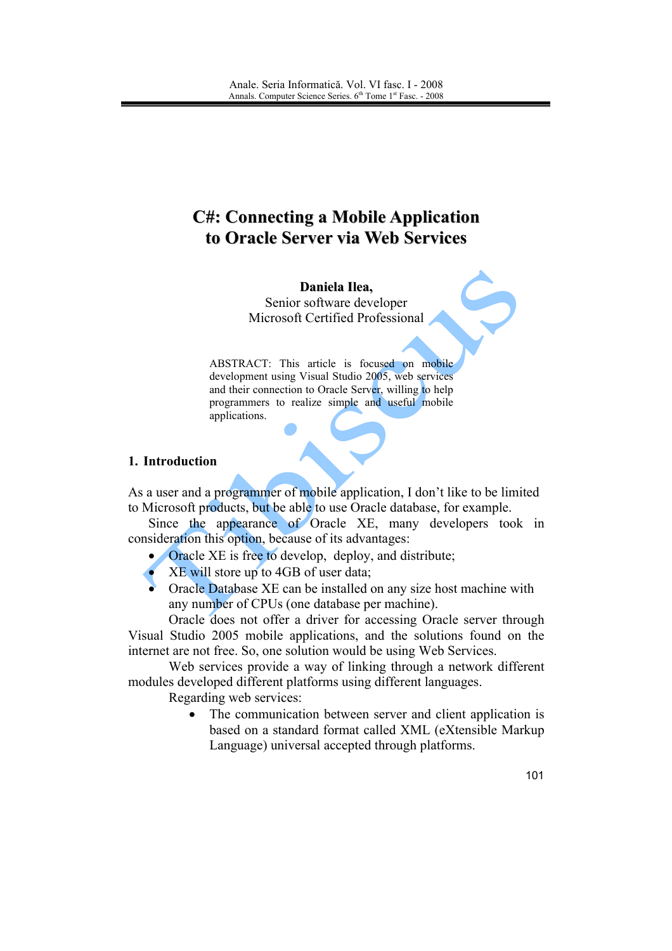# **C#: Connecting a Mobile Application** to Oracle Server via Web Services

Daniela Ilea, Senior software developer Microsoft Certified Professional

ABSTRACT: This article is focused on mobile development using Visual Studio 2005, web services and their connection to Oracle Server, willing to help programmers to realize simple and useful mobile applications.

#### 1. Introduction

As a user and a programmer of mobile application. I don't like to be limited to Microsoft products, but be able to use Oracle database, for example.

Since the appearance of Oracle XE, many developers took in consideration this option, because of its advantages:

- Oracle XE is free to develop, deploy, and distribute;
- XE will store up to 4GB of user data;
- Oracle Database XE can be installed on any size host machine with any number of CPUs (one database per machine).

Oracle does not offer a driver for accessing Oracle server through Visual Studio 2005 mobile applications, and the solutions found on the internet are not free. So, one solution would be using Web Services.

Web services provide a way of linking through a network different modules developed different platforms using different languages.

Regarding web services:

• The communication between server and client application is based on a standard format called XML (eXtensible Markup Language) universal accepted through platforms.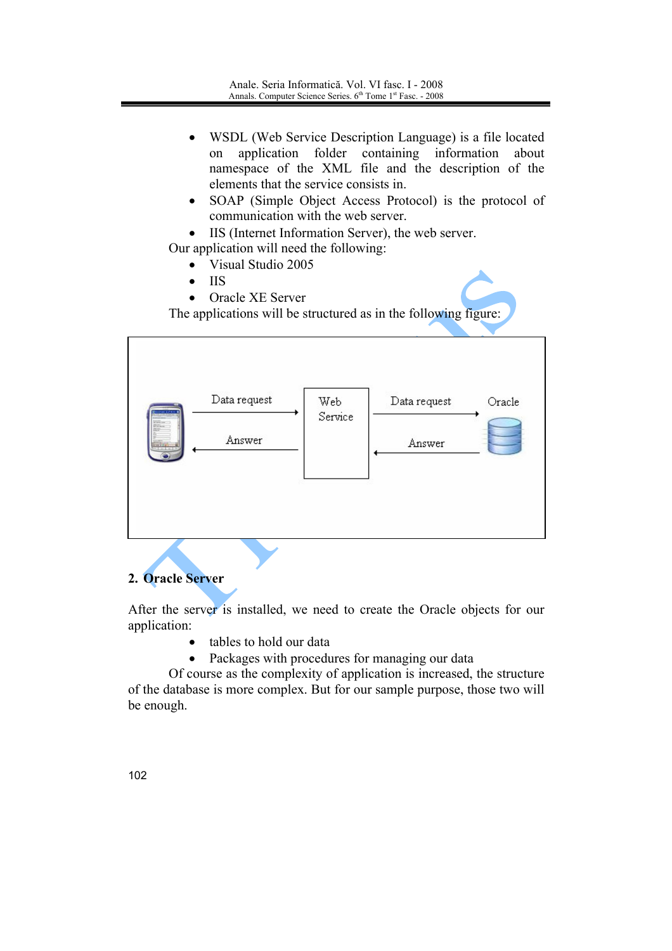- WSDL (Web Service Description Language) is a file located  $\bullet$ application folder containing information about on namespace of the XML file and the description of the elements that the service consists in.
- SOAP (Simple Object Access Protocol) is the protocol of  $\bullet$ communication with the web server.
- IIS (Internet Information Server), the web server.

Our application will need the following:

- Visual Studio 2005  $\bullet$
- **IIS**  $\bullet$
- Oracle XE Server

The applications will be structured as in the following figure:

| Data request<br>Answer | Web<br>Service | Data request<br>Answer | Oracle |
|------------------------|----------------|------------------------|--------|
|                        |                |                        |        |

## 2. Oracle Server

After the server is installed, we need to create the Oracle objects for our application:

- tables to hold our data
- Packages with procedures for managing our data

Of course as the complexity of application is increased, the structure of the database is more complex. But for our sample purpose, those two will be enough.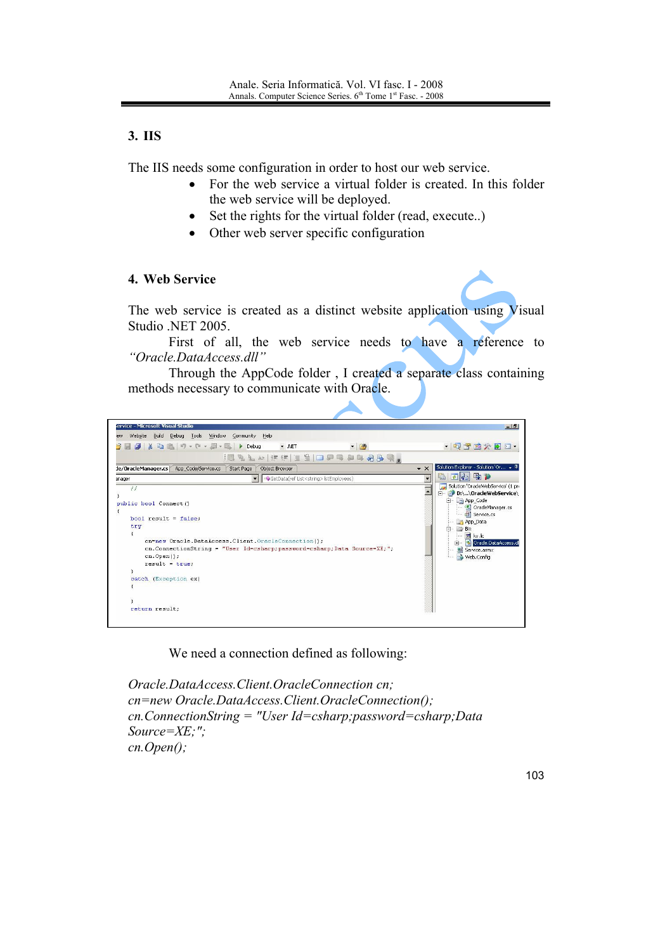# 3. IIS

The IIS needs some configuration in order to host our web service.

- For the web service a virtual folder is created. In this folder  $\bullet$ the web service will be deployed.
- Set the rights for the virtual folder (read, execute..)  $\bullet$
- Other web server specific configuration  $\bullet$

#### 4. Web Service

The web service is created as a distinct website application using Visual Studio .NET 2005.

First of all, the web service needs to have a reference to "Oracle.DataAccess.dll"

Through the AppCode folder, I created a separate class containing methods necessary to communicate with Oracle.



We need a connection defined as following:

Oracle.DataAccess.Client.OracleConnection cn: cn=new Oracle.DataAccess.Client.OracleConnection(); cn.ConnectionString = "User Id=csharp; password=csharp; Data  $Source = \chi E$ ;";  $cn. Open();$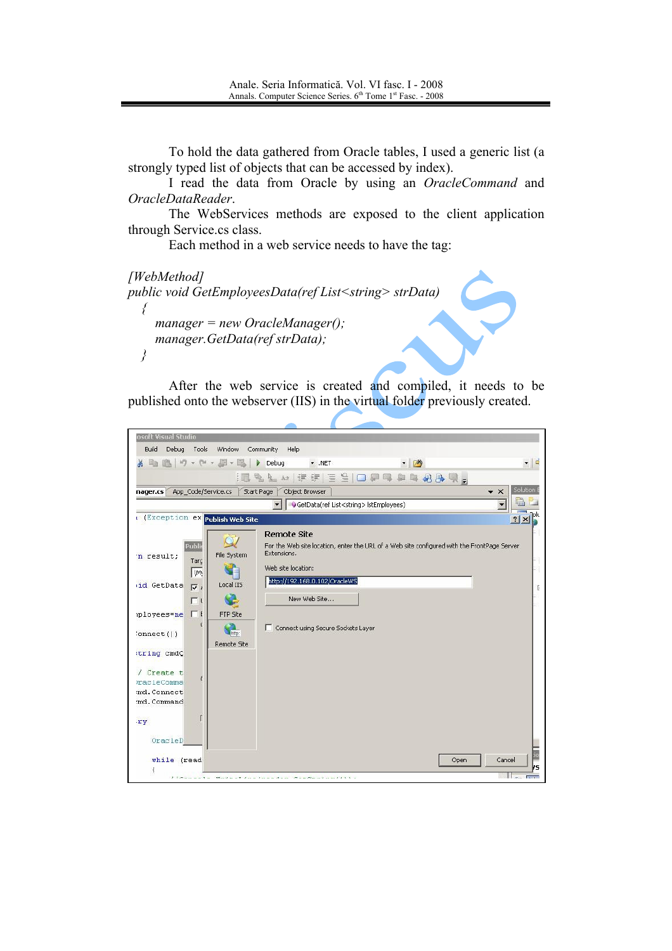To hold the data gathered from Oracle tables, I used a generic list (a strongly typed list of objects that can be accessed by index).

I read the data from Oracle by using an *OracleCommand* and OracleDataReader.

The WebServices methods are exposed to the client application through Service.cs class.

Each method in a web service needs to have the tag:

[WebMethod] public void GetEmployeesData(ref List<string> strData) ₹  $m$ anager = new OracleManager(); manager.GetData(ref strData);  $\left\{ \right\}$ 

After the web service is created and compiled, it needs to be published onto the webserver (IIS) in the virtual folder previously created.

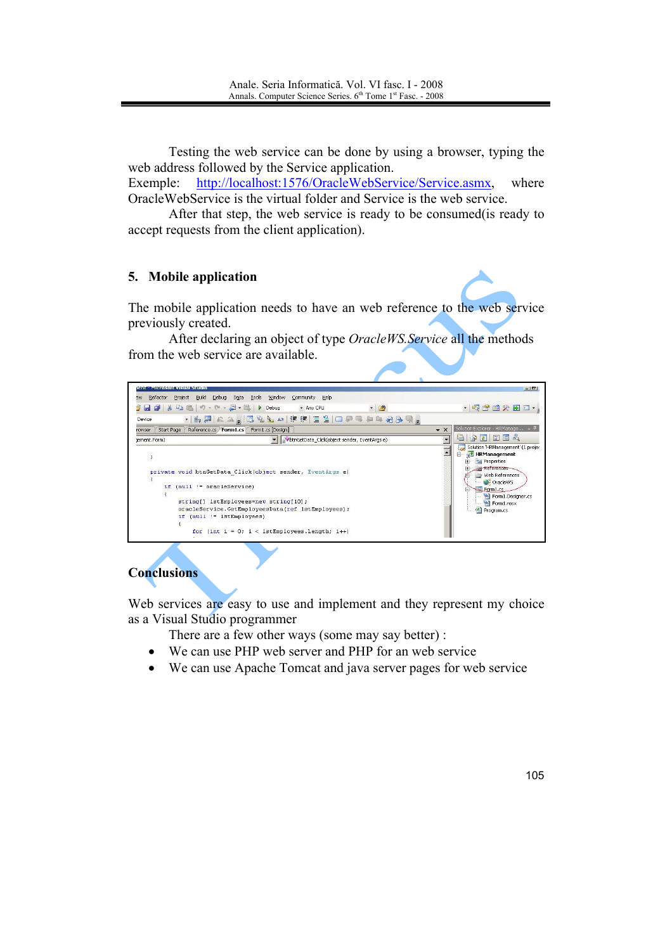Testing the web service can be done by using a browser, typing the web address followed by the Service application.

Exemple: http://localhost:1576/OracleWebService/Service.asmx. where OracleWebService is the virtual folder and Service is the web service.

After that step, the web service is ready to be consumed (is ready to accept requests from the client application).

## 5. Mobile application

The mobile application needs to have an web reference to the web service previously created.

After declaring an object of type *OracleWS. Service* all the methods from the web service are available.



## **Conclusions**

Web services are easy to use and implement and they represent my choice as a Visual Studio programmer

There are a few other ways (some may say better) :

- We can use PHP web server and PHP for an web service  $\bullet$
- We can use Apache Tomcat and java server pages for web service  $\bullet$